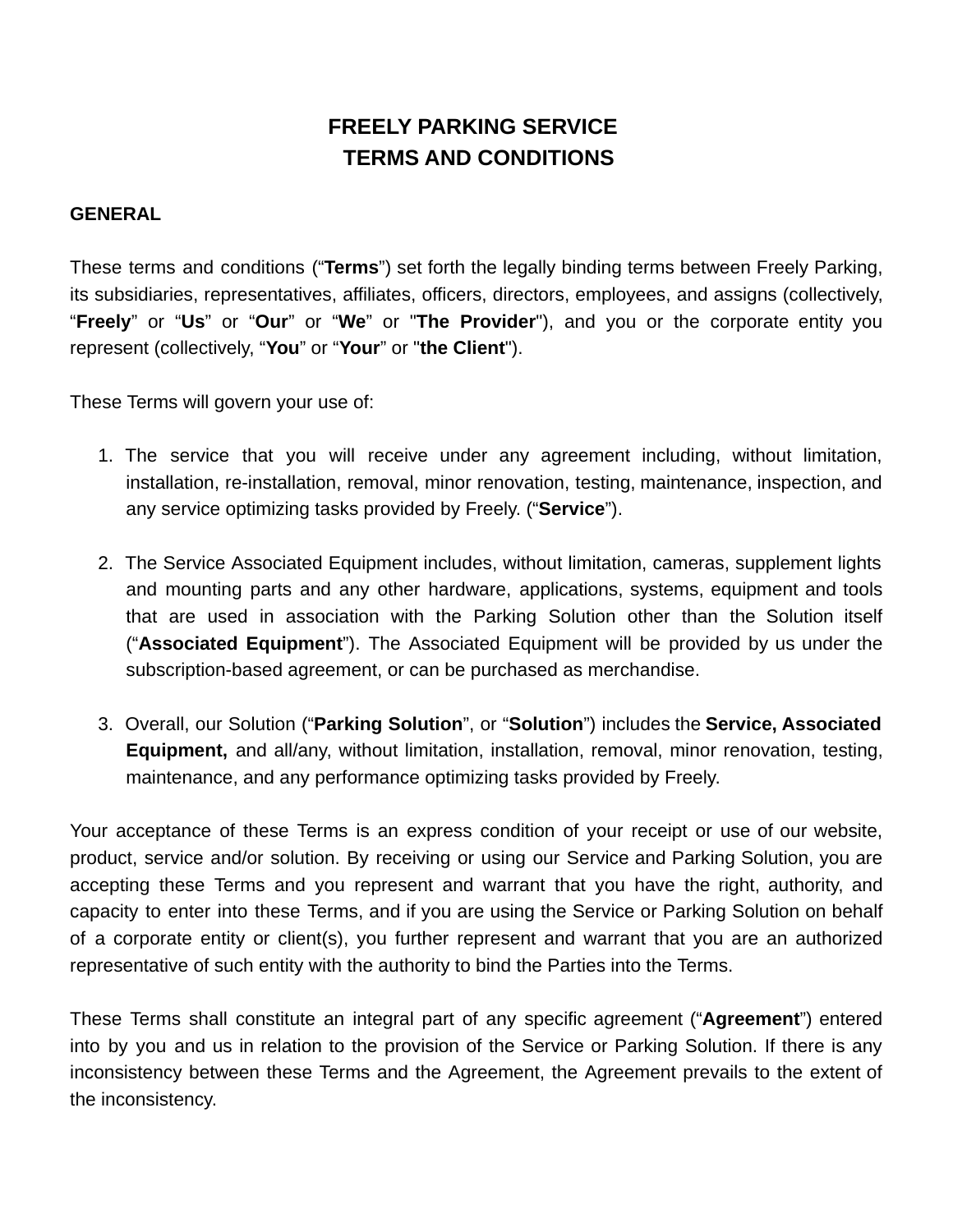## **FREELY PARKING SERVICE TERMS AND CONDITIONS**

#### **GENERAL**

These terms and conditions ("**Terms**") set forth the legally binding terms between Freely Parking, its subsidiaries, representatives, affiliates, officers, directors, employees, and assigns (collectively, "**Freely**" or "**Us**" or "**Our**" or "**We**" or "**The Provider**"), and you or the corporate entity you represent (collectively, "**You**" or "**Your**" or "**the Client**").

These Terms will govern your use of:

- 1. The service that you will receive under any agreement including, without limitation, installation, re-installation, removal, minor renovation, testing, maintenance, inspection, and any service optimizing tasks provided by Freely. ("**Service**").
- 2. The Service Associated Equipment includes, without limitation, cameras, supplement lights and mounting parts and any other hardware, applications, systems, equipment and tools that are used in association with the Parking Solution other than the Solution itself ("**Associated Equipment**"). The Associated Equipment will be provided by us under the subscription-based agreement, or can be purchased as merchandise.
- 3. Overall, our Solution ("**Parking Solution**", or "**Solution**") includes the **Service, Associated Equipment,** and all/any, without limitation, installation, removal, minor renovation, testing, maintenance, and any performance optimizing tasks provided by Freely.

Your acceptance of these Terms is an express condition of your receipt or use of our website, product, service and/or solution. By receiving or using our Service and Parking Solution, you are accepting these Terms and you represent and warrant that you have the right, authority, and capacity to enter into these Terms, and if you are using the Service or Parking Solution on behalf of a corporate entity or client(s), you further represent and warrant that you are an authorized representative of such entity with the authority to bind the Parties into the Terms.

These Terms shall constitute an integral part of any specific agreement ("**Agreement**") entered into by you and us in relation to the provision of the Service or Parking Solution. If there is any inconsistency between these Terms and the Agreement, the Agreement prevails to the extent of the inconsistency.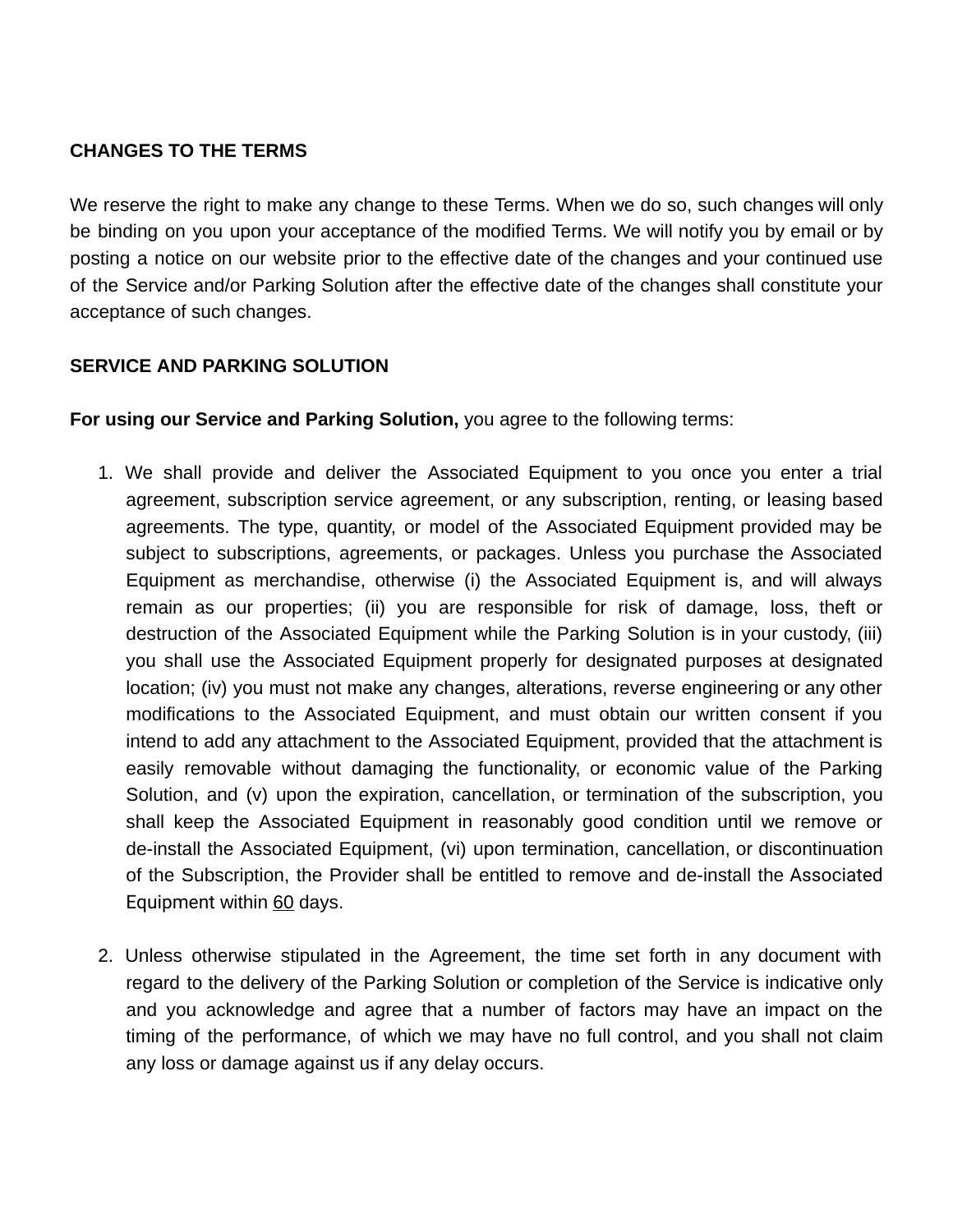## **CHANGES TO THE TERMS**

We reserve the right to make any change to these Terms. When we do so, such changes will only be binding on you upon your acceptance of the modified Terms. We will notify you by email or by posting a notice on our website prior to the effective date of the changes and your continued use of the Service and/or Parking Solution after the effective date of the changes shall constitute your acceptance of such changes.

## **SERVICE AND PARKING SOLUTION**

**For using our Service and Parking Solution,** you agree to the following terms:

- 1. We shall provide and deliver the Associated Equipment to you once you enter a trial agreement, subscription service agreement, or any subscription, renting, or leasing based agreements. The type, quantity, or model of the Associated Equipment provided may be subject to subscriptions, agreements, or packages. Unless you purchase the Associated Equipment as merchandise, otherwise (i) the Associated Equipment is, and will always remain as our properties; (ii) you are responsible for risk of damage, loss, theft or destruction of the Associated Equipment while the Parking Solution is in your custody, (iii) you shall use the Associated Equipment properly for designated purposes at designated location; (iv) you must not make any changes, alterations, reverse engineering or any other modifications to the Associated Equipment, and must obtain our written consent if you intend to add any attachment to the Associated Equipment, provided that the attachment is easily removable without damaging the functionality, or economic value of the Parking Solution, and (v) upon the expiration, cancellation, or termination of the subscription, you shall keep the Associated Equipment in reasonably good condition until we remove or de-install the Associated Equipment, (vi) upon termination, cancellation, or discontinuation of the Subscription, the Provider shall be entitled to remove and de-install the Associated Equipment within 60 days.
- 2. Unless otherwise stipulated in the Agreement, the time set forth in any document with regard to the delivery of the Parking Solution or completion of the Service is indicative only and you acknowledge and agree that a number of factors may have an impact on the timing of the performance, of which we may have no full control, and you shall not claim any loss or damage against us if any delay occurs.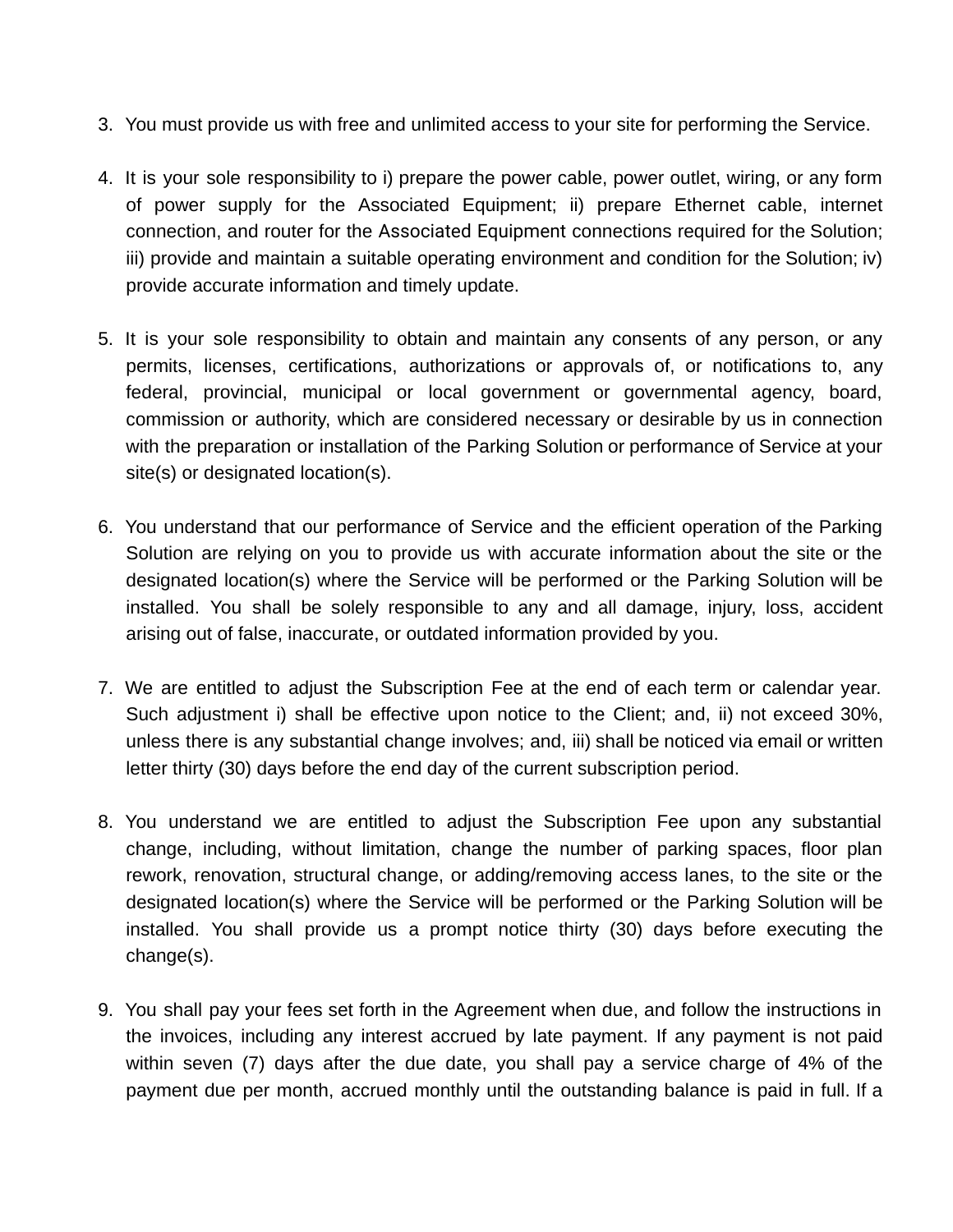- 3. You must provide us with free and unlimited access to your site for performing the Service.
- 4. It is your sole responsibility to i) prepare the power cable, power outlet, wiring, or any form of power supply for the Associated Equipment; ii) prepare Ethernet cable, internet connection, and router for the Associated Equipment connections required for the Solution; iii) provide and maintain a suitable operating environment and condition for the Solution; iv) provide accurate information and timely update.
- 5. It is your sole responsibility to obtain and maintain any consents of any person, or any permits, licenses, certifications, authorizations or approvals of, or notifications to, any federal, provincial, municipal or local government or governmental agency, board, commission or authority, which are considered necessary or desirable by us in connection with the preparation or installation of the Parking Solution or performance of Service at your site(s) or designated location(s).
- 6. You understand that our performance of Service and the efficient operation of the Parking Solution are relying on you to provide us with accurate information about the site or the designated location(s) where the Service will be performed or the Parking Solution will be installed. You shall be solely responsible to any and all damage, injury, loss, accident arising out of false, inaccurate, or outdated information provided by you.
- 7. We are entitled to adjust the Subscription Fee at the end of each term or calendar year. Such adjustment i) shall be effective upon notice to the Client; and, ii) not exceed 30%, unless there is any substantial change involves; and, iii) shall be noticed via email or written letter thirty (30) days before the end day of the current subscription period.
- 8. You understand we are entitled to adjust the Subscription Fee upon any substantial change, including, without limitation, change the number of parking spaces, floor plan rework, renovation, structural change, or adding/removing access lanes, to the site or the designated location(s) where the Service will be performed or the Parking Solution will be installed. You shall provide us a prompt notice thirty (30) days before executing the change(s).
- 9. You shall pay your fees set forth in the Agreement when due, and follow the instructions in the invoices, including any interest accrued by late payment. If any payment is not paid within seven (7) days after the due date, you shall pay a service charge of 4% of the payment due per month, accrued monthly until the outstanding balance is paid in full. If a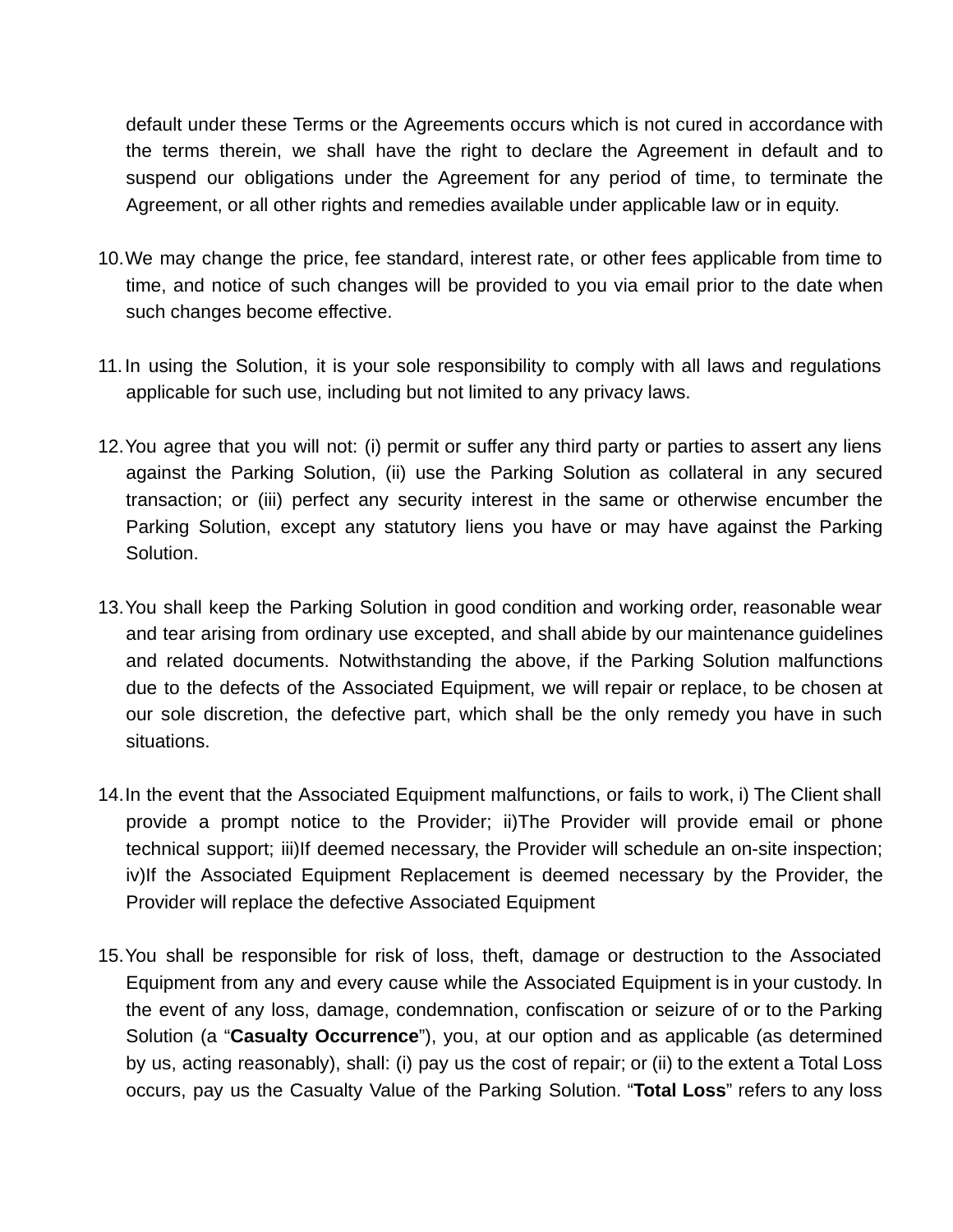default under these Terms or the Agreements occurs which is not cured in accordance with the terms therein, we shall have the right to declare the Agreement in default and to suspend our obligations under the Agreement for any period of time, to terminate the Agreement, or all other rights and remedies available under applicable law or in equity.

- 10.We may change the price, fee standard, interest rate, or other fees applicable from time to time, and notice of such changes will be provided to you via email prior to the date when such changes become effective.
- 11.In using the Solution, it is your sole responsibility to comply with all laws and regulations applicable for such use, including but not limited to any privacy laws.
- 12.You agree that you will not: (i) permit or suffer any third party or parties to assert any liens against the Parking Solution, (ii) use the Parking Solution as collateral in any secured transaction; or (iii) perfect any security interest in the same or otherwise encumber the Parking Solution, except any statutory liens you have or may have against the Parking Solution.
- 13.You shall keep the Parking Solution in good condition and working order, reasonable wear and tear arising from ordinary use excepted, and shall abide by our maintenance guidelines and related documents. Notwithstanding the above, if the Parking Solution malfunctions due to the defects of the Associated Equipment, we will repair or replace, to be chosen at our sole discretion, the defective part, which shall be the only remedy you have in such situations.
- 14.In the event that the Associated Equipment malfunctions, or fails to work, i) The Client shall provide a prompt notice to the Provider; ii)The Provider will provide email or phone technical support; iii)If deemed necessary, the Provider will schedule an on-site inspection; iv)If the Associated Equipment Replacement is deemed necessary by the Provider, the Provider will replace the defective Associated Equipment
- 15.You shall be responsible for risk of loss, theft, damage or destruction to the Associated Equipment from any and every cause while the Associated Equipment is in your custody. In the event of any loss, damage, condemnation, confiscation or seizure of or to the Parking Solution (a "**Casualty Occurrence**"), you, at our option and as applicable (as determined by us, acting reasonably), shall: (i) pay us the cost of repair; or (ii) to the extent a Total Loss occurs, pay us the Casualty Value of the Parking Solution. "**Total Loss**" refers to any loss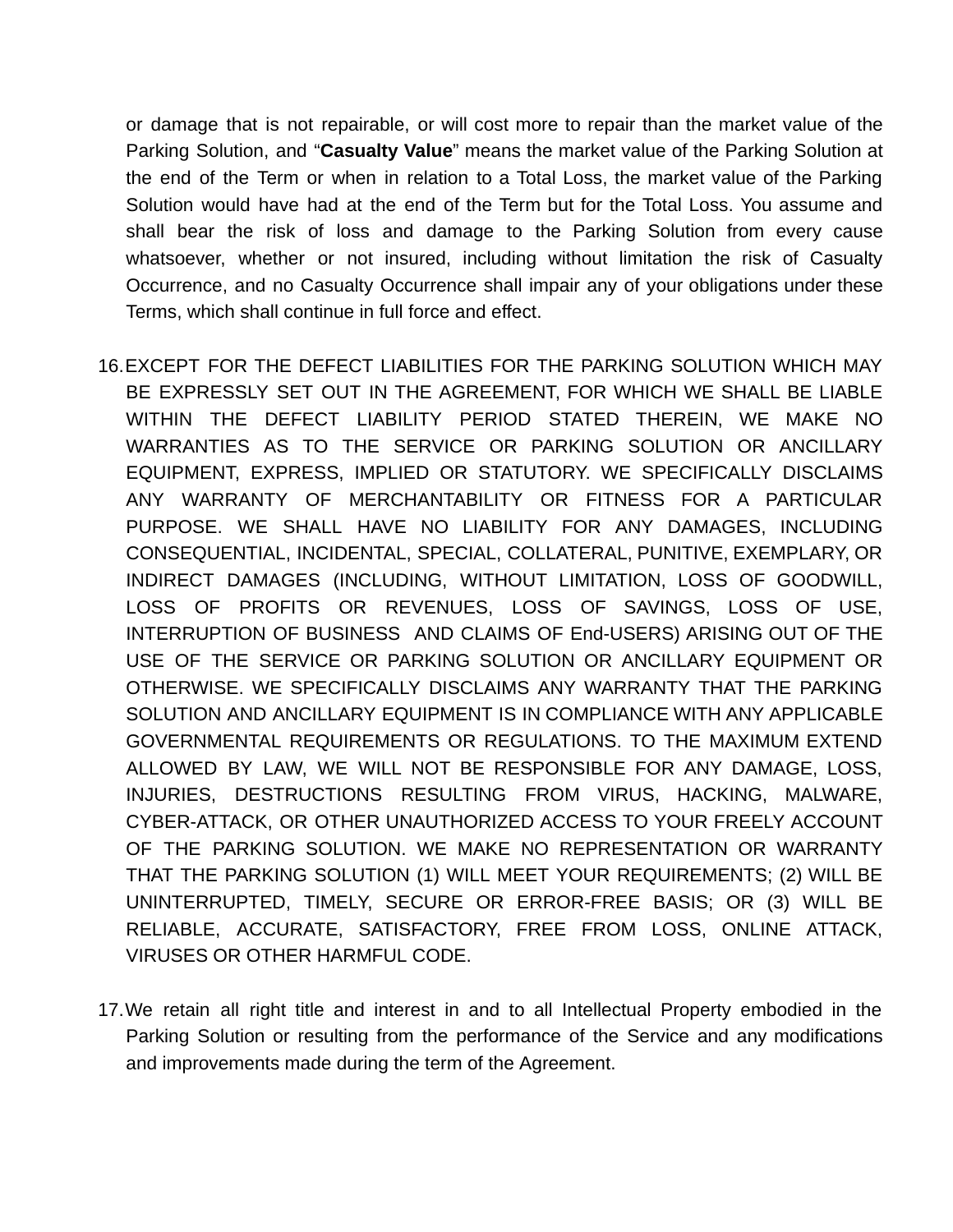or damage that is not repairable, or will cost more to repair than the market value of the Parking Solution, and "**Casualty Value**" means the market value of the Parking Solution at the end of the Term or when in relation to a Total Loss, the market value of the Parking Solution would have had at the end of the Term but for the Total Loss. You assume and shall bear the risk of loss and damage to the Parking Solution from every cause whatsoever, whether or not insured, including without limitation the risk of Casualty Occurrence, and no Casualty Occurrence shall impair any of your obligations under these Terms, which shall continue in full force and effect.

- 16.EXCEPT FOR THE DEFECT LIABILITIES FOR THE PARKING SOLUTION WHICH MAY BE EXPRESSLY SET OUT IN THE AGREEMENT, FOR WHICH WE SHALL BE LIABLE WITHIN THE DEFECT LIABILITY PERIOD STATED THEREIN, WE MAKE NO WARRANTIES AS TO THE SERVICE OR PARKING SOLUTION OR ANCILLARY EQUIPMENT, EXPRESS, IMPLIED OR STATUTORY. WE SPECIFICALLY DISCLAIMS ANY WARRANTY OF MERCHANTABILITY OR FITNESS FOR A PARTICULAR PURPOSE. WE SHALL HAVE NO LIABILITY FOR ANY DAMAGES, INCLUDING CONSEQUENTIAL, INCIDENTAL, SPECIAL, COLLATERAL, PUNITIVE, EXEMPLARY, OR INDIRECT DAMAGES (INCLUDING, WITHOUT LIMITATION, LOSS OF GOODWILL, LOSS OF PROFITS OR REVENUES, LOSS OF SAVINGS, LOSS OF USE, INTERRUPTION OF BUSINESS AND CLAIMS OF End-USERS) ARISING OUT OF THE USE OF THE SERVICE OR PARKING SOLUTION OR ANCILLARY EQUIPMENT OR OTHERWISE. WE SPECIFICALLY DISCLAIMS ANY WARRANTY THAT THE PARKING SOLUTION AND ANCILLARY EQUIPMENT IS IN COMPLIANCE WITH ANY APPLICABLE GOVERNMENTAL REQUIREMENTS OR REGULATIONS. TO THE MAXIMUM EXTEND ALLOWED BY LAW, WE WILL NOT BE RESPONSIBLE FOR ANY DAMAGE, LOSS, INJURIES, DESTRUCTIONS RESULTING FROM VIRUS, HACKING, MALWARE, CYBER-ATTACK, OR OTHER UNAUTHORIZED ACCESS TO YOUR FREELY ACCOUNT OF THE PARKING SOLUTION. WE MAKE NO REPRESENTATION OR WARRANTY THAT THE PARKING SOLUTION (1) WILL MEET YOUR REQUIREMENTS; (2) WILL BE UNINTERRUPTED, TIMELY, SECURE OR ERROR-FREE BASIS; OR (3) WILL BE RELIABLE, ACCURATE, SATISFACTORY, FREE FROM LOSS, ONLINE ATTACK, VIRUSES OR OTHER HARMFUL CODE.
- 17.We retain all right title and interest in and to all Intellectual Property embodied in the Parking Solution or resulting from the performance of the Service and any modifications and improvements made during the term of the Agreement.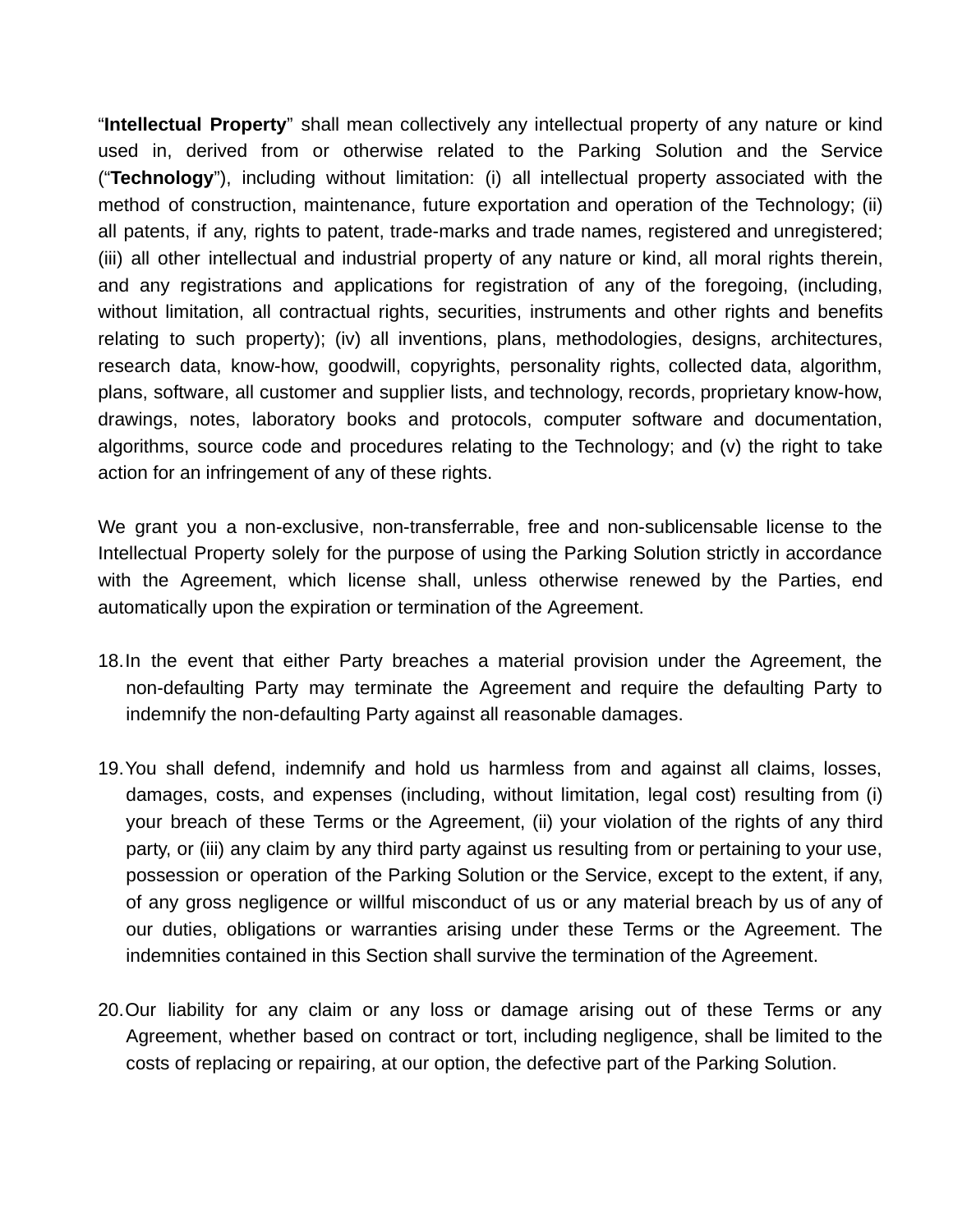"**Intellectual Property**" shall mean collectively any intellectual property of any nature or kind used in, derived from or otherwise related to the Parking Solution and the Service ("**Technology**"), including without limitation: (i) all intellectual property associated with the method of construction, maintenance, future exportation and operation of the Technology; (ii) all patents, if any, rights to patent, trade-marks and trade names, registered and unregistered; (iii) all other intellectual and industrial property of any nature or kind, all moral rights therein, and any registrations and applications for registration of any of the foregoing, (including, without limitation, all contractual rights, securities, instruments and other rights and benefits relating to such property); (iv) all inventions, plans, methodologies, designs, architectures, research data, know-how, goodwill, copyrights, personality rights, collected data, algorithm, plans, software, all customer and supplier lists, and technology, records, proprietary know-how, drawings, notes, laboratory books and protocols, computer software and documentation, algorithms, source code and procedures relating to the Technology; and (v) the right to take action for an infringement of any of these rights.

We grant you a non-exclusive, non-transferrable, free and non-sublicensable license to the Intellectual Property solely for the purpose of using the Parking Solution strictly in accordance with the Agreement, which license shall, unless otherwise renewed by the Parties, end automatically upon the expiration or termination of the Agreement.

- 18.In the event that either Party breaches a material provision under the Agreement, the non-defaulting Party may terminate the Agreement and require the defaulting Party to indemnify the non-defaulting Party against all reasonable damages.
- 19.You shall defend, indemnify and hold us harmless from and against all claims, losses, damages, costs, and expenses (including, without limitation, legal cost) resulting from (i) your breach of these Terms or the Agreement, (ii) your violation of the rights of any third party, or (iii) any claim by any third party against us resulting from or pertaining to your use, possession or operation of the Parking Solution or the Service, except to the extent, if any, of any gross negligence or willful misconduct of us or any material breach by us of any of our duties, obligations or warranties arising under these Terms or the Agreement. The indemnities contained in this Section shall survive the termination of the Agreement.
- 20.Our liability for any claim or any loss or damage arising out of these Terms or any Agreement, whether based on contract or tort, including negligence, shall be limited to the costs of replacing or repairing, at our option, the defective part of the Parking Solution.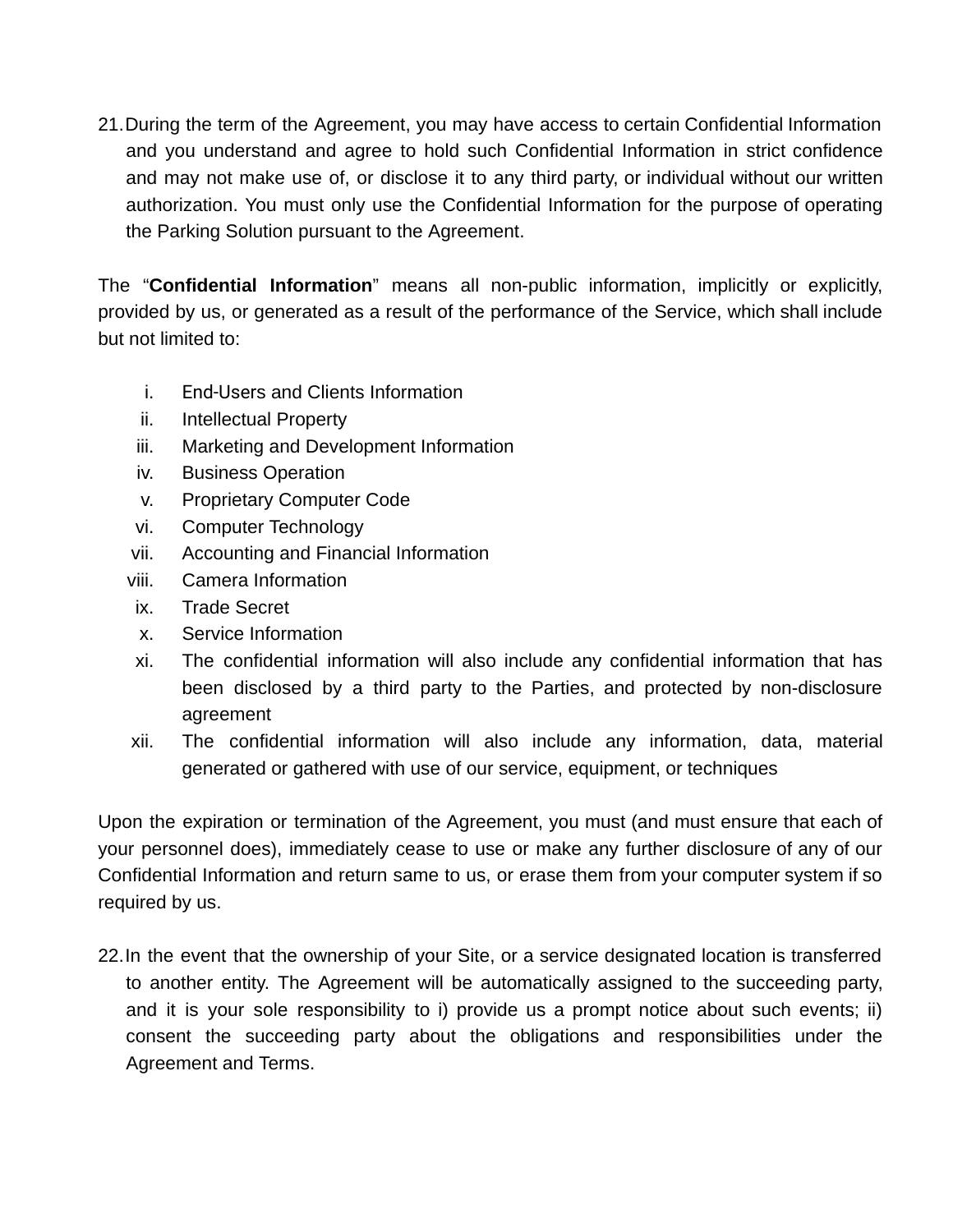21.During the term of the Agreement, you may have access to certain Confidential Information and you understand and agree to hold such Confidential Information in strict confidence and may not make use of, or disclose it to any third party, or individual without our written authorization. You must only use the Confidential Information for the purpose of operating the Parking Solution pursuant to the Agreement.

The "**Confidential Information**" means all non-public information, implicitly or explicitly, provided by us, or generated as a result of the performance of the Service, which shall include but not limited to:

- i. End-Users and Clients Information
- ii. Intellectual Property
- iii. Marketing and Development Information
- iv. Business Operation
- v. Proprietary Computer Code
- vi. Computer Technology
- vii. Accounting and Financial Information
- viii. Camera Information
- ix. Trade Secret
- x. Service Information
- xi. The confidential information will also include any confidential information that has been disclosed by a third party to the Parties, and protected by non-disclosure agreement
- xii. The confidential information will also include any information, data, material generated or gathered with use of our service, equipment, or techniques

Upon the expiration or termination of the Agreement, you must (and must ensure that each of your personnel does), immediately cease to use or make any further disclosure of any of our Confidential Information and return same to us, or erase them from your computer system if so required by us.

22.In the event that the ownership of your Site, or a service designated location is transferred to another entity. The Agreement will be automatically assigned to the succeeding party, and it is your sole responsibility to i) provide us a prompt notice about such events; ii) consent the succeeding party about the obligations and responsibilities under the Agreement and Terms.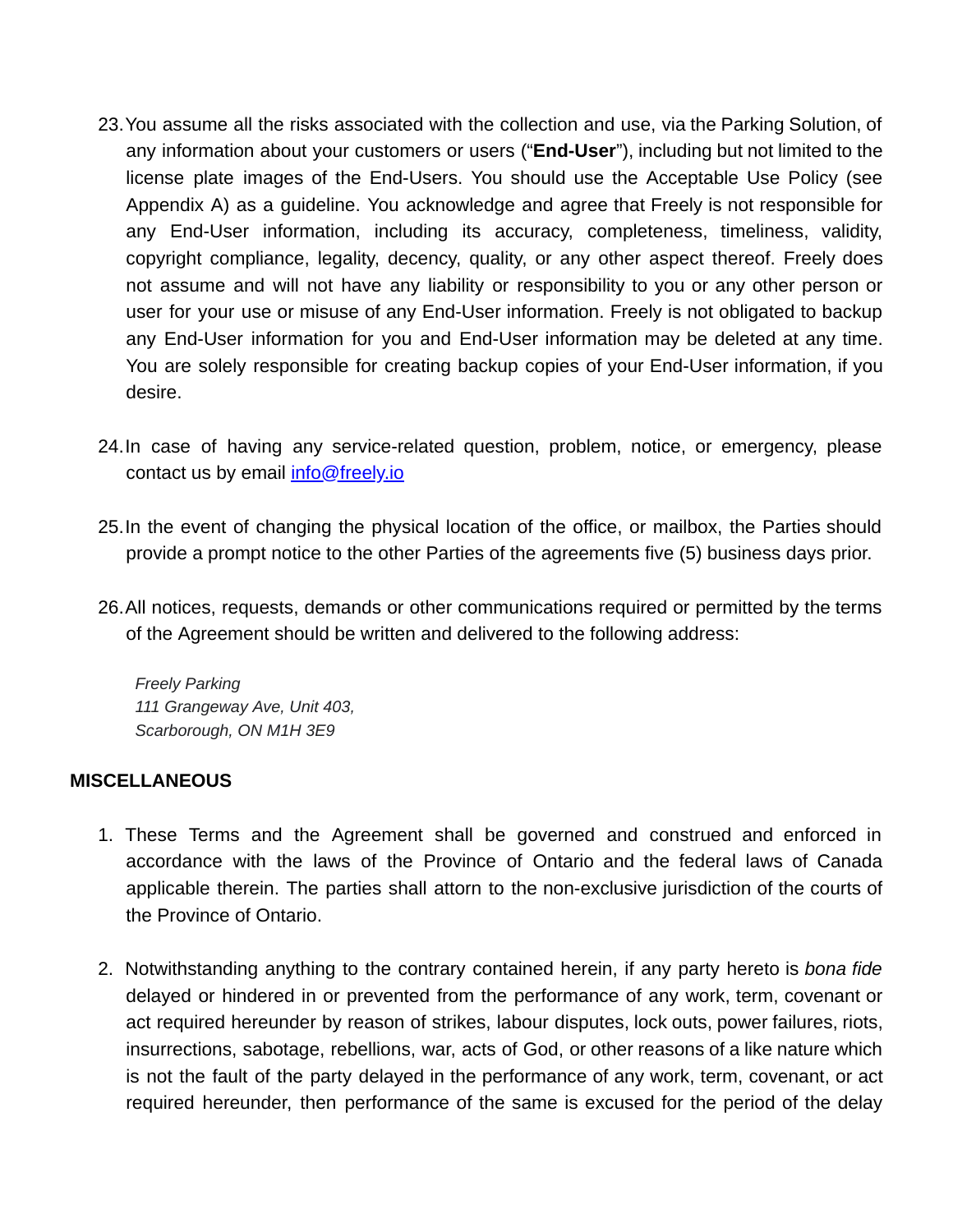- 23.You assume all the risks associated with the collection and use, via the Parking Solution, of any information about your customers or users ("**End-User**"), including but not limited to the license plate images of the End-Users. You should use the Acceptable Use Policy (see Appendix A) as a guideline. You acknowledge and agree that Freely is not responsible for any End-User information, including its accuracy, completeness, timeliness, validity, copyright compliance, legality, decency, quality, or any other aspect thereof. Freely does not assume and will not have any liability or responsibility to you or any other person or user for your use or misuse of any End-User information. Freely is not obligated to backup any End-User information for you and End-User information may be deleted at any time. You are solely responsible for creating backup copies of your End-User information, if you desire.
- 24.In case of having any service-related question, problem, notice, or emergency, please contact us by email [info@freely.io](mailto:info@freely.io)
- 25.In the event of changing the physical location of the office, or mailbox, the Parties should provide a prompt notice to the other Parties of the agreements five (5) business days prior.
- 26.All notices, requests, demands or other communications required or permitted by the terms of the Agreement should be written and delivered to the following address:

*Freely Parking 111 Grangeway Ave, Unit 403, Scarborough, ON M1H 3E9*

#### **MISCELLANEOUS**

- 1. These Terms and the Agreement shall be governed and construed and enforced in accordance with the laws of the Province of Ontario and the federal laws of Canada applicable therein. The parties shall attorn to the non-exclusive jurisdiction of the courts of the Province of Ontario.
- 2. Notwithstanding anything to the contrary contained herein, if any party hereto is *bona fide* delayed or hindered in or prevented from the performance of any work, term, covenant or act required hereunder by reason of strikes, labour disputes, lock outs, power failures, riots, insurrections, sabotage, rebellions, war, acts of God, or other reasons of a like nature which is not the fault of the party delayed in the performance of any work, term, covenant, or act required hereunder, then performance of the same is excused for the period of the delay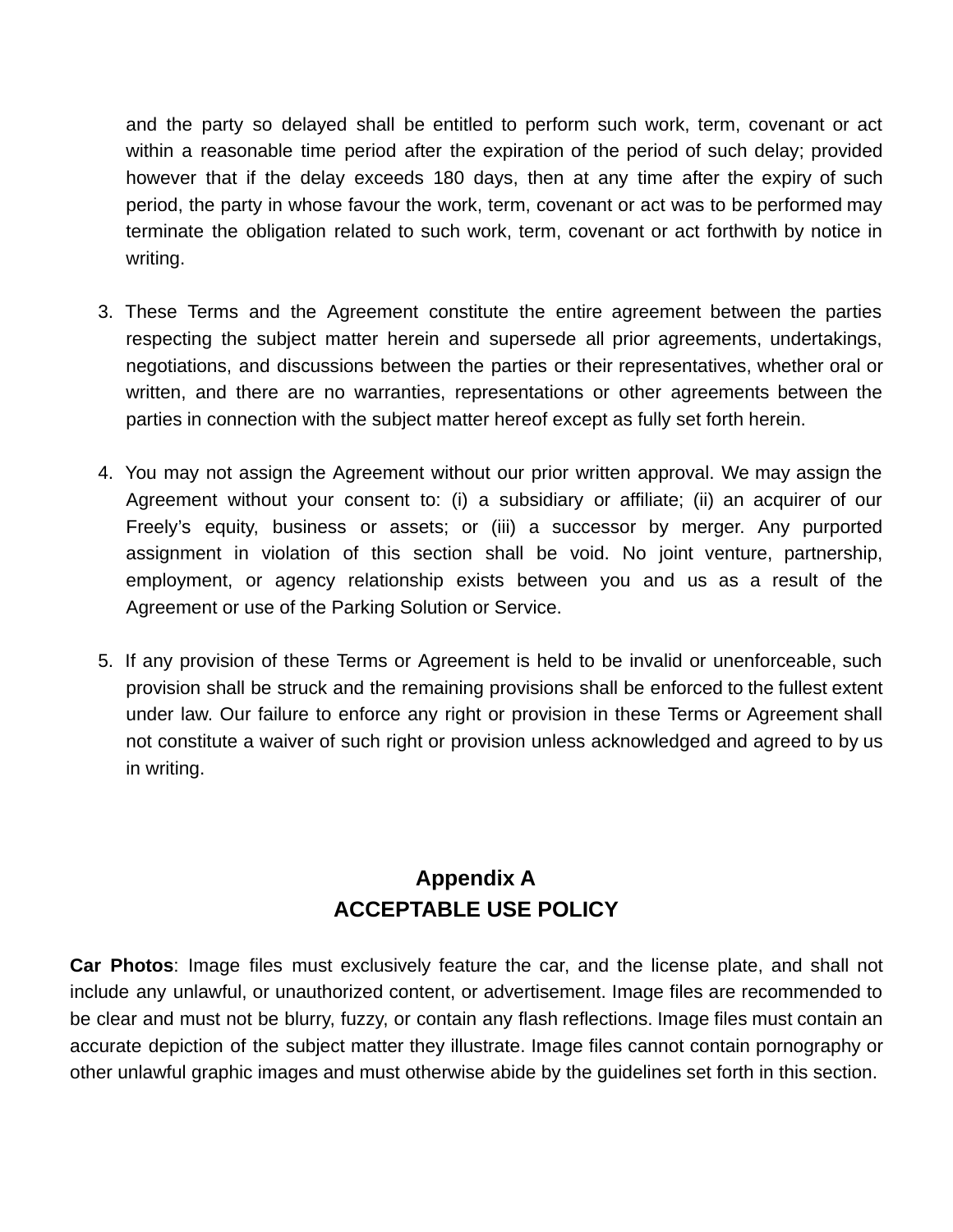and the party so delayed shall be entitled to perform such work, term, covenant or act within a reasonable time period after the expiration of the period of such delay; provided however that if the delay exceeds 180 days, then at any time after the expiry of such period, the party in whose favour the work, term, covenant or act was to be performed may terminate the obligation related to such work, term, covenant or act forthwith by notice in writing.

- 3. These Terms and the Agreement constitute the entire agreement between the parties respecting the subject matter herein and supersede all prior agreements, undertakings, negotiations, and discussions between the parties or their representatives, whether oral or written, and there are no warranties, representations or other agreements between the parties in connection with the subject matter hereof except as fully set forth herein.
- 4. You may not assign the Agreement without our prior written approval. We may assign the Agreement without your consent to: (i) a subsidiary or affiliate; (ii) an acquirer of our Freely's equity, business or assets; or (iii) a successor by merger. Any purported assignment in violation of this section shall be void. No joint venture, partnership, employment, or agency relationship exists between you and us as a result of the Agreement or use of the Parking Solution or Service.
- 5. If any provision of these Terms or Agreement is held to be invalid or unenforceable, such provision shall be struck and the remaining provisions shall be enforced to the fullest extent under law. Our failure to enforce any right or provision in these Terms or Agreement shall not constitute a waiver of such right or provision unless acknowledged and agreed to by us in writing.

# **Appendix A ACCEPTABLE USE POLICY**

**Car Photos**: Image files must exclusively feature the car, and the license plate, and shall not include any unlawful, or unauthorized content, or advertisement. Image files are recommended to be clear and must not be blurry, fuzzy, or contain any flash reflections. Image files must contain an accurate depiction of the subject matter they illustrate. Image files cannot contain pornography or other unlawful graphic images and must otherwise abide by the guidelines set forth in this section.